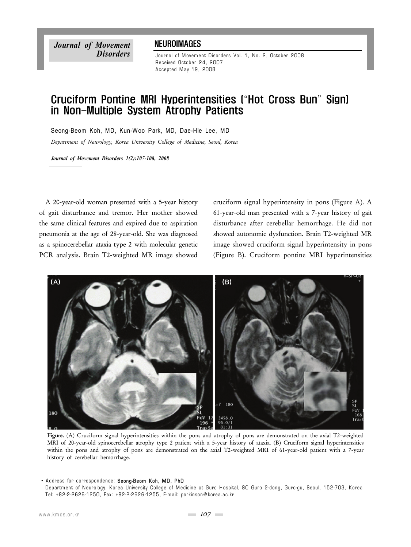*Journal of Movement Disorders*

## **NEUROIMAGES**

Journal of Movement Disorders Vol. 1, No. 2, October 2008 Received October 24 , 2007 Accepted May 19, 2008

## Cruciform Pontine MRI Hyperintensities ("Hot Cross Bun" Sign) in Non-Multiple System Atrophy Patients

Seong-Beom Koh, MD, Kun-Woo Park, MD, Dae-Hie Lee, MD

*Department of Neurology, Korea University College of Medicine, Seoul, Korea*

*Journal of Movement Disorders 1(2):107-108, 2008*

A 20-year-old woman presented with a 5-year history of gait disturbance and tremor. Her mother showed the same clinical features and expired due to aspiration pneumonia at the age of 28-year-old. She was diagnosed as a spinocerebellar ataxia type 2 with molecular genetic PCR analysis. Brain T2-weighted MR image showed cruciform signal hyperintensity in pons (Figure A). A 61-year-old man presented with a 7-year history of gait disturbance after cerebellar hemorrhage. He did not showed autonomic dysfunction. Brain T2-weighted MR image showed cruciform signal hyperintensity in pons (Figure B). Cruciform pontine MRI hyperintensities



**Figure.** (A) Cruciform signal hyperintensities within the pons and atrophy of pons are demonstrated on the axial T2-weighted MRI of 20-year-old spinocerebellar atrophy type 2 patient with a 5-year history of ataxia. (B) Cruciform signal hyperintensities within the pons and atrophy of pons are demonstrated on the axial T2-weighted MRI of 61-year-old patient with a 7-year history of cerebellar hemorrhage.

<sup>•</sup> Address for correspondence: Seong-Beom Koh, MD, PhD

Department of Neurology, Korea University College of Medicine at Guro Hospital, 80 Guro 2-dong, Guro-gu, Seoul, 152-703, Korea Tel: +82-2-2626-1250 , Fax: +82-2-2626-1255 , E-m ail: parkinson@ korea .ac.kr